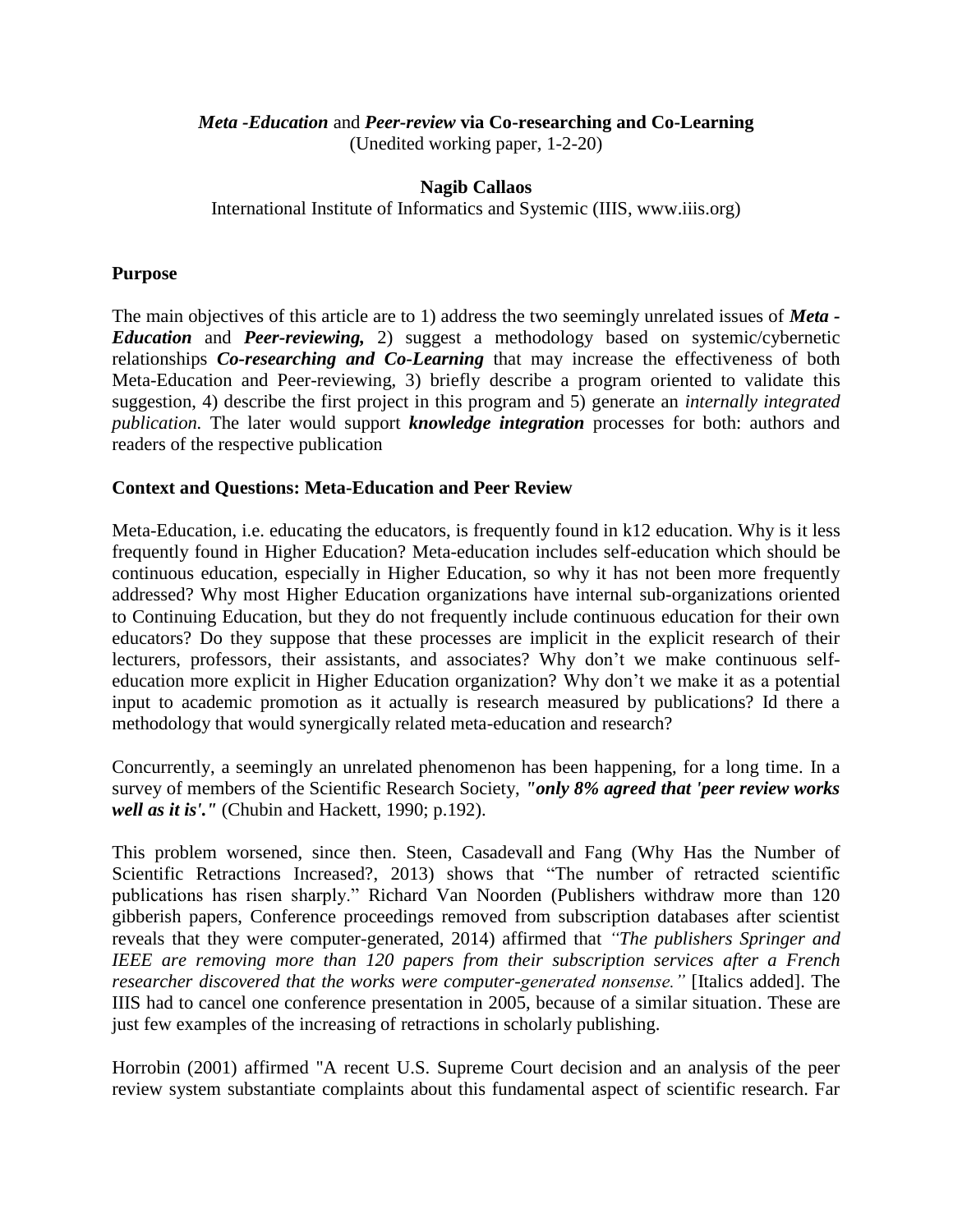### *Meta -Education* and *Peer-review* **via Co-researching and Co-Learning**

(Unedited working paper, 1-2-20)

#### **Nagib Callaos**

International Institute of Informatics and Systemic (IIIS, www.iiis.org)

#### **Purpose**

The main objectives of this article are to 1) address the two seemingly unrelated issues of *Meta - Education* and *Peer-reviewing,* 2) suggest a methodology based on systemic/cybernetic relationships *Co-researching and Co-Learning* that may increase the effectiveness of both Meta-Education and Peer-reviewing, 3) briefly describe a program oriented to validate this suggestion, 4) describe the first project in this program and 5) generate an *internally integrated publication.* The later would support *knowledge integration* processes for both: authors and readers of the respective publication

#### **Context and Questions: Meta-Education and Peer Review**

Meta-Education, i.e. educating the educators, is frequently found in k12 education. Why is it less frequently found in Higher Education? Meta-education includes self-education which should be continuous education, especially in Higher Education, so why it has not been more frequently addressed? Why most Higher Education organizations have internal sub-organizations oriented to Continuing Education, but they do not frequently include continuous education for their own educators? Do they suppose that these processes are implicit in the explicit research of their lecturers, professors, their assistants, and associates? Why don't we make continuous selfeducation more explicit in Higher Education organization? Why don't we make it as a potential input to academic promotion as it actually is research measured by publications? Id there a methodology that would synergically related meta-education and research?

Concurrently, a seemingly an unrelated phenomenon has been happening, for a long time. In a survey of members of the Scientific Research Society, *"only 8% agreed that 'peer review works well as it is'."* (Chubin and Hackett, 1990; p.192).

This problem worsened, since then. Steen, Casadevall and Fang (Why Has the Number of Scientific Retractions Increased?, 2013) shows that "The number of retracted scientific publications has risen sharply." Richard Van Noorden (Publishers withdraw more than 120 gibberish papers, Conference proceedings removed from subscription databases after scientist reveals that they were computer-generated, 2014) affirmed that *"The publishers Springer and IEEE are removing more than 120 papers from their subscription services after a French researcher discovered that the works were computer-generated nonsense."* [Italics added]. The IIIS had to cancel one conference presentation in 2005, because of a similar situation. These are just few examples of the increasing of retractions in scholarly publishing.

Horrobin (2001) affirmed "A recent U.S. Supreme Court decision and an analysis of the peer review system substantiate complaints about this fundamental aspect of scientific research. Far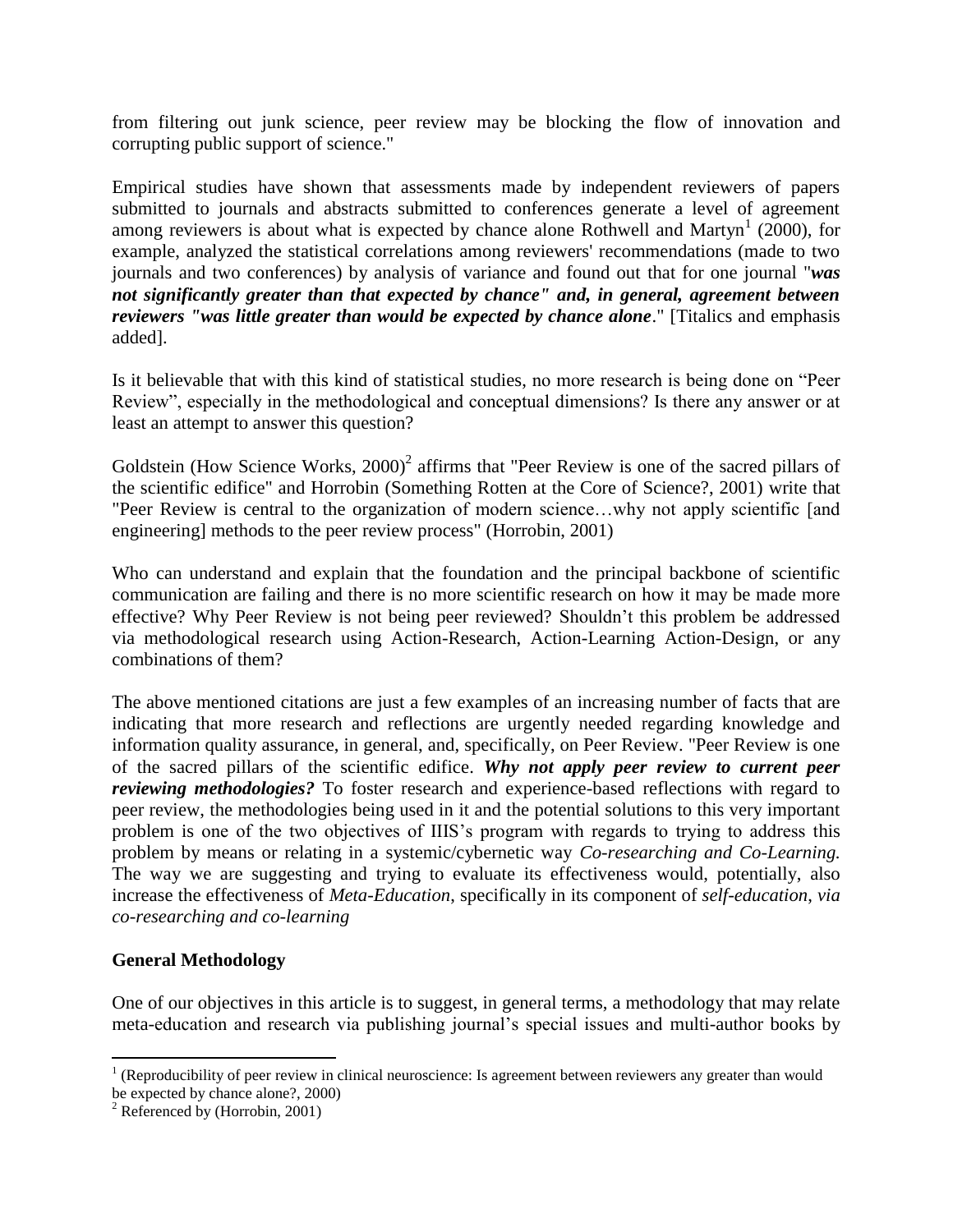from filtering out junk science, peer review may be blocking the flow of innovation and corrupting public support of science."

Empirical studies have shown that assessments made by independent reviewers of papers submitted to journals and abstracts submitted to conferences generate a level of agreement among reviewers is about what is expected by chance alone Rothwell and Martyn<sup>1</sup> (2000), for example, analyzed the statistical correlations among reviewers' recommendations (made to two journals and two conferences) by analysis of variance and found out that for one journal "*was not significantly greater than that expected by chance" and, in general, agreement between reviewers "was little greater than would be expected by chance alone*." [Titalics and emphasis added].

Is it believable that with this kind of statistical studies, no more research is being done on "Peer Review", especially in the methodological and conceptual dimensions? Is there any answer or at least an attempt to answer this question?

Goldstein (How Science Works,  $2000$ )<sup>2</sup> affirms that "Peer Review is one of the sacred pillars of the scientific edifice" and Horrobin (Something Rotten at the Core of Science?, 2001) write that "Peer Review is central to the organization of modern science…why not apply scientific [and engineering] methods to the peer review process" (Horrobin, 2001)

Who can understand and explain that the foundation and the principal backbone of scientific communication are failing and there is no more scientific research on how it may be made more effective? Why Peer Review is not being peer reviewed? Shouldn't this problem be addressed via methodological research using Action-Research, Action-Learning Action-Design, or any combinations of them?

The above mentioned citations are just a few examples of an increasing number of facts that are indicating that more research and reflections are urgently needed regarding knowledge and information quality assurance, in general, and, specifically, on Peer Review. "Peer Review is one of the sacred pillars of the scientific edifice. *Why not apply peer review to current peer reviewing methodologies?* To foster research and experience-based reflections with regard to peer review, the methodologies being used in it and the potential solutions to this very important problem is one of the two objectives of IIIS's program with regards to trying to address this problem by means or relating in a systemic/cybernetic way *Co-researching and Co-Learning.*  The way we are suggesting and trying to evaluate its effectiveness would, potentially, also increase the effectiveness of *Meta-Education*, specifically in its component of *self-education*, *via co-researching and co-learning*

#### **General Methodology**

One of our objectives in this article is to suggest, in general terms, a methodology that may relate meta-education and research via publishing journal's special issues and multi-author books by

<sup>&</sup>lt;sup>1</sup> (Reproducibility of peer review in clinical neuroscience: Is agreement between reviewers any greater than would be expected by chance alone?, 2000)

 $2$  Referenced by (Horrobin, 2001)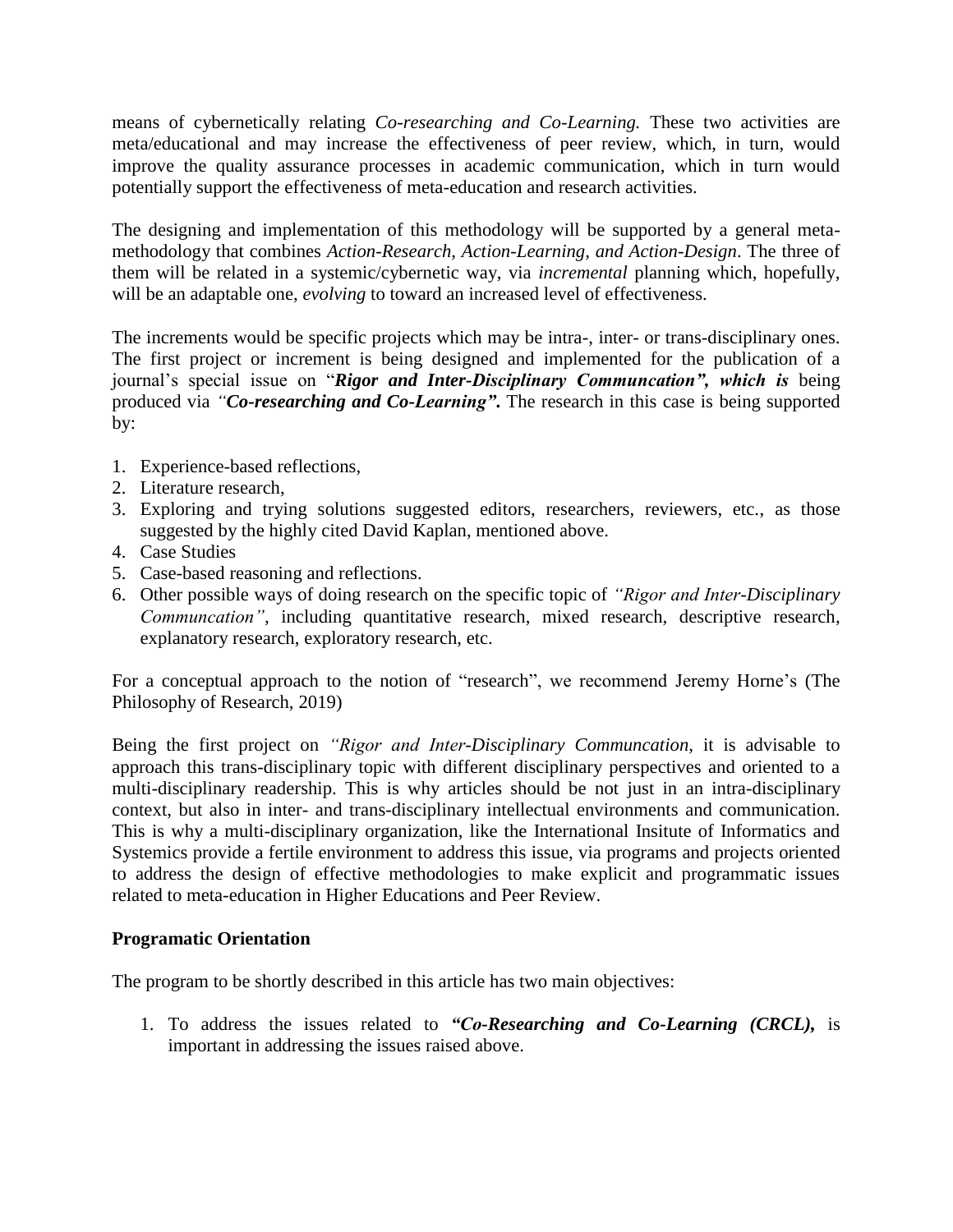means of cybernetically relating *Co-researching and Co-Learning.* These two activities are meta/educational and may increase the effectiveness of peer review, which, in turn, would improve the quality assurance processes in academic communication, which in turn would potentially support the effectiveness of meta-education and research activities.

The designing and implementation of this methodology will be supported by a general metamethodology that combines *Action-Research, Action-Learning, and Action-Design*. The three of them will be related in a systemic/cybernetic way, via *incremental* planning which, hopefully, will be an adaptable one, *evolving* to toward an increased level of effectiveness.

The increments would be specific projects which may be intra-, inter- or trans-disciplinary ones. The first project or increment is being designed and implemented for the publication of a journal's special issue on "*Rigor and Inter-Disciplinary Communcation", which is* being produced via *"Co-researching and Co-Learning"***.** The research in this case is being supported by:

- 1. Experience-based reflections,
- 2. Literature research,
- 3. Exploring and trying solutions suggested editors, researchers, reviewers, etc., as those suggested by the highly cited David Kaplan, mentioned above.
- 4. Case Studies
- 5. Case-based reasoning and reflections.
- 6. Other possible ways of doing research on the specific topic of *"Rigor and Inter-Disciplinary Communcation",* including quantitative research, mixed research, descriptive research, explanatory research, exploratory research, etc.

For a conceptual approach to the notion of "research", we recommend Jeremy Horne's (The Philosophy of Research, 2019)

Being the first project on *"Rigor and Inter-Disciplinary Communcation,* it is advisable to approach this trans-disciplinary topic with different disciplinary perspectives and oriented to a multi-disciplinary readership. This is why articles should be not just in an intra-disciplinary context, but also in inter- and trans-disciplinary intellectual environments and communication. This is why a multi-disciplinary organization, like the International Insitute of Informatics and Systemics provide a fertile environment to address this issue, via programs and projects oriented to address the design of effective methodologies to make explicit and programmatic issues related to meta-education in Higher Educations and Peer Review.

## **Programatic Orientation**

The program to be shortly described in this article has two main objectives:

1. To address the issues related to *"Co-Researching and Co-Learning (CRCL),* is important in addressing the issues raised above.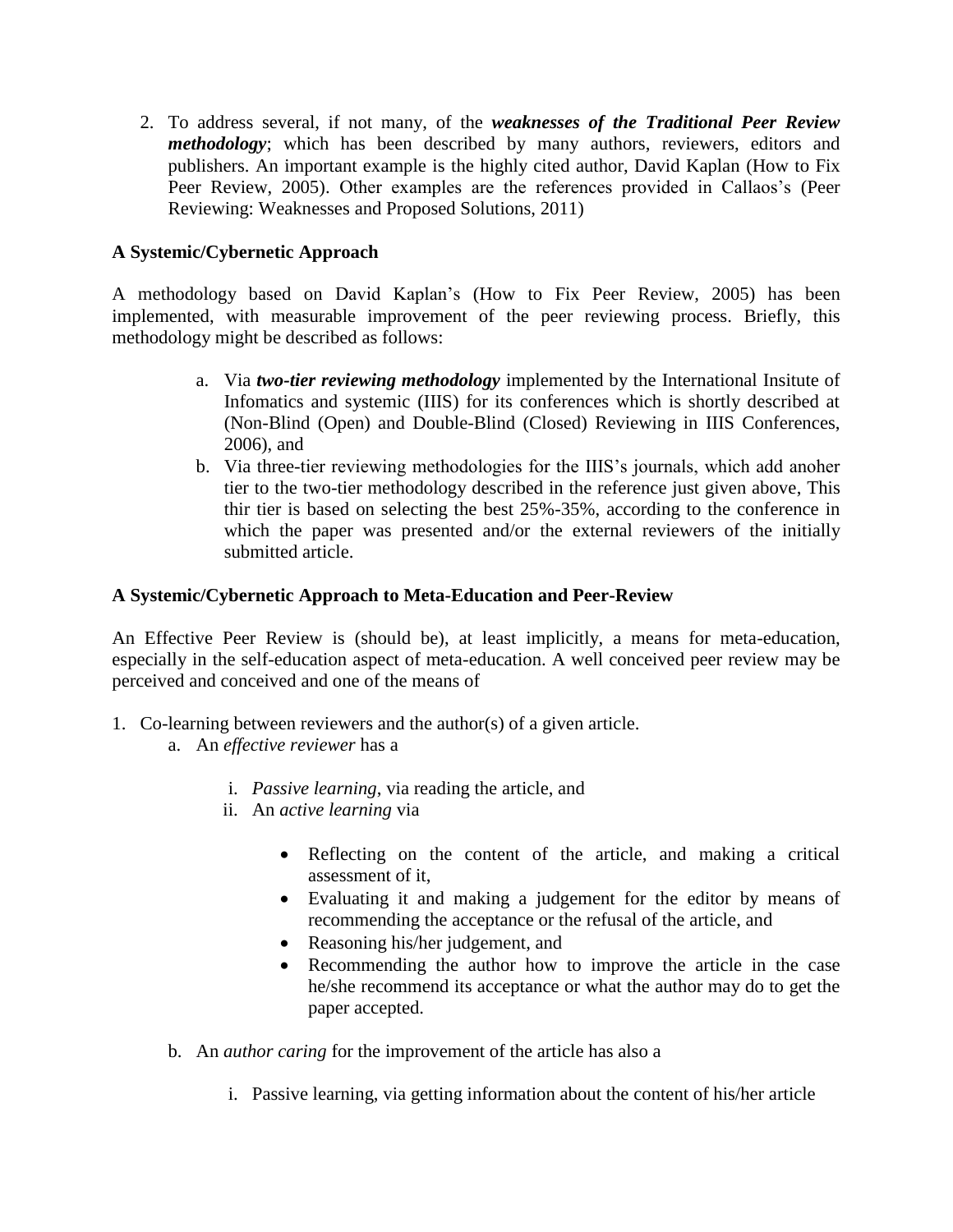2. To address several, if not many, of the *weaknesses of the Traditional Peer Review methodology*; which has been described by many authors, reviewers, editors and publishers. An important example is the highly cited author, David Kaplan (How to Fix Peer Review, 2005). Other examples are the references provided in Callaos's (Peer Reviewing: Weaknesses and Proposed Solutions, 2011)

## **A Systemic/Cybernetic Approach**

A methodology based on David Kaplan's (How to Fix Peer Review, 2005) has been implemented, with measurable improvement of the peer reviewing process. Briefly, this methodology might be described as follows:

- a. Via *two-tier reviewing methodology* implemented by the International Insitute of Infomatics and systemic (IIIS) for its conferences which is shortly described at (Non-Blind (Open) and Double-Blind (Closed) Reviewing in IIIS Conferences, 2006), and
- b. Via three-tier reviewing methodologies for the IIIS's journals, which add anoher tier to the two-tier methodology described in the reference just given above, This thir tier is based on selecting the best 25%-35%, according to the conference in which the paper was presented and/or the external reviewers of the initially submitted article.

# **A Systemic/Cybernetic Approach to Meta-Education and Peer-Review**

An Effective Peer Review is (should be), at least implicitly, a means for meta-education, especially in the self-education aspect of meta-education. A well conceived peer review may be perceived and conceived and one of the means of

- 1. Co-learning between reviewers and the author(s) of a given article.
	- a. An *effective reviewer* has a
		- i. *Passive learning*, via reading the article, and
		- ii. An *active learning* via
			- Reflecting on the content of the article, and making a critical assessment of it,
			- Evaluating it and making a judgement for the editor by means of recommending the acceptance or the refusal of the article, and
			- Reasoning his/her judgement, and
			- Recommending the author how to improve the article in the case he/she recommend its acceptance or what the author may do to get the paper accepted.
	- b. An *author caring* for the improvement of the article has also a
		- i. Passive learning, via getting information about the content of his/her article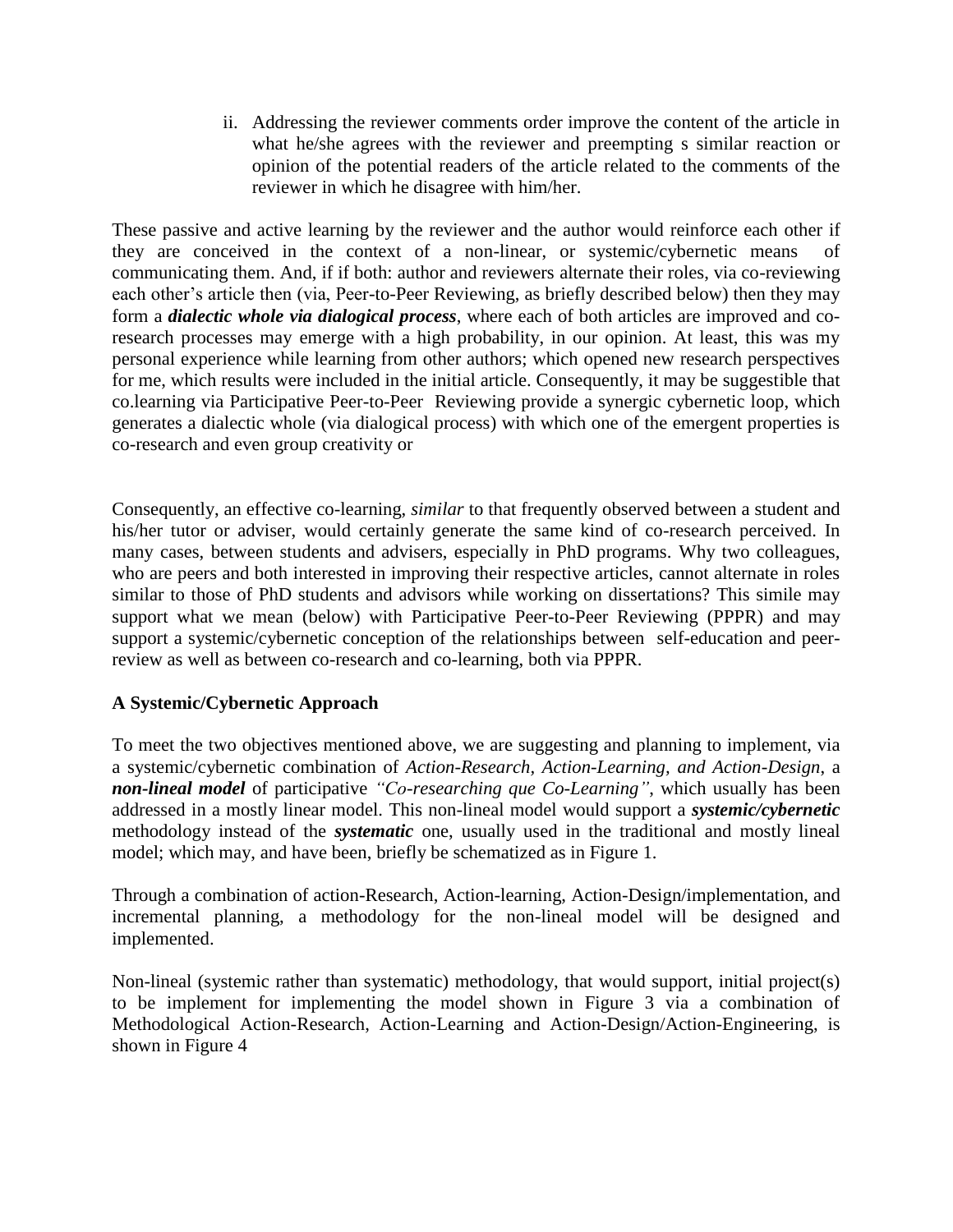ii. Addressing the reviewer comments order improve the content of the article in what he/she agrees with the reviewer and preempting s similar reaction or opinion of the potential readers of the article related to the comments of the reviewer in which he disagree with him/her.

These passive and active learning by the reviewer and the author would reinforce each other if they are conceived in the context of a non-linear, or systemic/cybernetic means of communicating them. And, if if both: author and reviewers alternate their roles, via co-reviewing each other's article then (via, Peer-to-Peer Reviewing, as briefly described below) then they may form a *dialectic whole via dialogical process*, where each of both articles are improved and coresearch processes may emerge with a high probability, in our opinion. At least, this was my personal experience while learning from other authors; which opened new research perspectives for me, which results were included in the initial article. Consequently, it may be suggestible that co.learning via Participative Peer-to-Peer Reviewing provide a synergic cybernetic loop, which generates a dialectic whole (via dialogical process) with which one of the emergent properties is co-research and even group creativity or

Consequently, an effective co-learning, *similar* to that frequently observed between a student and his/her tutor or adviser, would certainly generate the same kind of co-research perceived. In many cases, between students and advisers, especially in PhD programs. Why two colleagues, who are peers and both interested in improving their respective articles, cannot alternate in roles similar to those of PhD students and advisors while working on dissertations? This simile may support what we mean (below) with Participative Peer-to-Peer Reviewing (PPPR) and may support a systemic/cybernetic conception of the relationships between self-education and peerreview as well as between co-research and co-learning, both via PPPR.

## **A Systemic/Cybernetic Approach**

To meet the two objectives mentioned above, we are suggesting and planning to implement, via a systemic/cybernetic combination of *Action-Research, Action-Learning, and Action-Design*, a *non-lineal model* of participative *"Co-researching que Co-Learning"*, which usually has been addressed in a mostly linear model. This non-lineal model would support a *systemic/cybernetic* methodology instead of the *systematic* one, usually used in the traditional and mostly lineal model; which may, and have been, briefly be schematized as in Figure 1.

Through a combination of action-Research, Action-learning, Action-Design/implementation, and incremental planning, a methodology for the non-lineal model will be designed and implemented.

Non-lineal (systemic rather than systematic) methodology, that would support, initial project(s) to be implement for implementing the model shown in Figure 3 via a combination of Methodological Action-Research, Action-Learning and Action-Design/Action-Engineering, is shown in Figure 4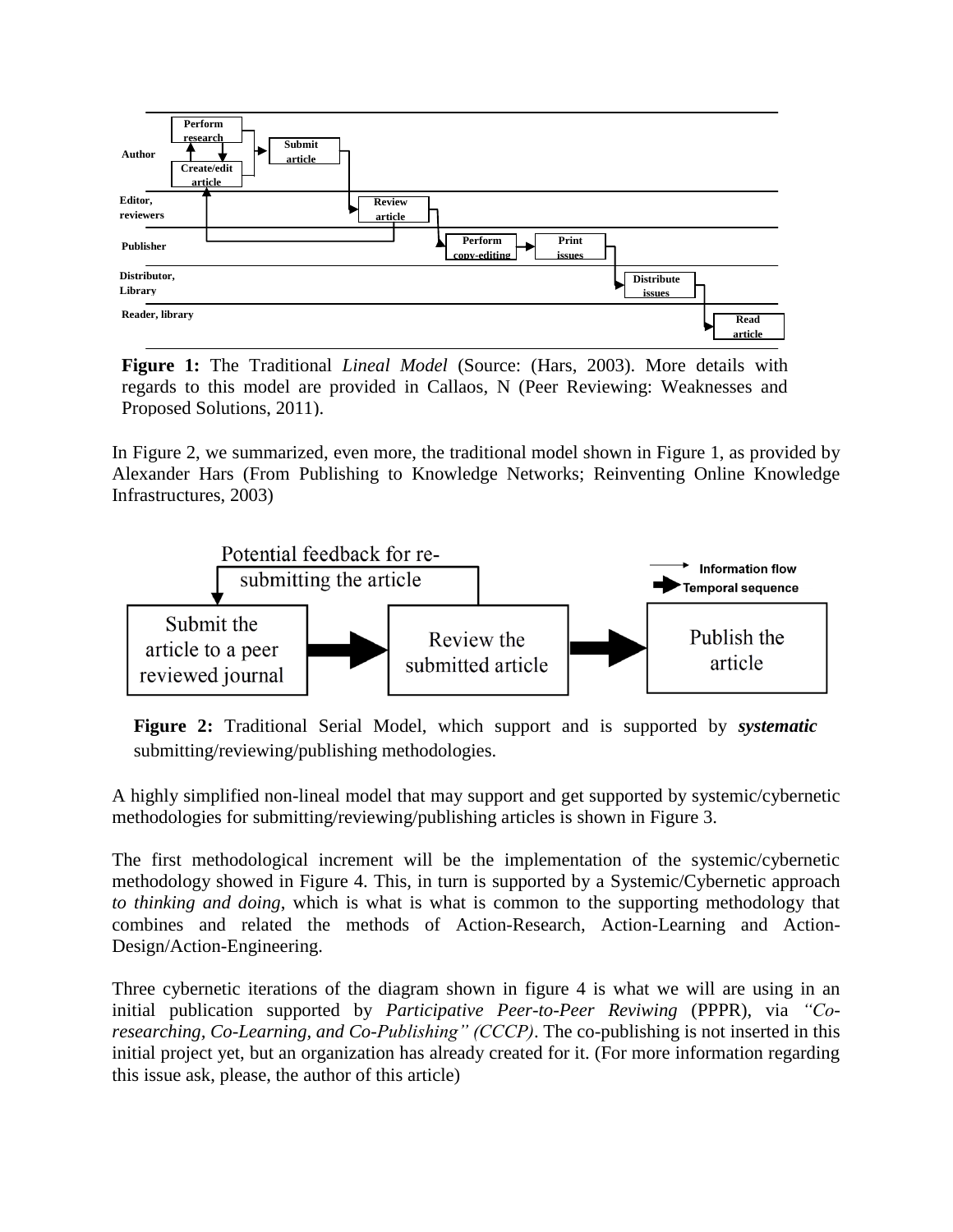

**Figure 1:** The Traditional *Lineal Model* (Source: (Hars, 2003). More details with regards to this model are provided in Callaos, N (Peer Reviewing: Weaknesses and Proposed Solutions, 2011).

In Figure 2, we summarized, even more, the traditional model shown in Figure 1, as provided by Alexander Hars (From Publishing to Knowledge Networks; Reinventing Online Knowledge Infrastructures, 2003)



**Figure 2:** Traditional Serial Model, which support and is supported by *systematic*  submitting/reviewing/publishing methodologies.

A highly simplified non-lineal model that may support and get supported by systemic/cybernetic methodologies for submitting/reviewing/publishing articles is shown in Figure 3.

The first methodological increment will be the implementation of the systemic/cybernetic methodology showed in Figure 4. This, in turn is supported by a Systemic/Cybernetic approach *to thinking and doing*, which is what is what is common to the supporting methodology that combines and related the methods of Action-Research, Action-Learning and Action-Design/Action-Engineering.

Three cybernetic iterations of the diagram shown in figure 4 is what we will are using in an initial publication supported by *Participative Peer-to-Peer Reviwing* (PPPR), via *"Coresearching, Co-Learning, and Co-Publishing" (CCCP)*. The co-publishing is not inserted in this initial project yet, but an organization has already created for it. (For more information regarding this issue ask, please, the author of this article)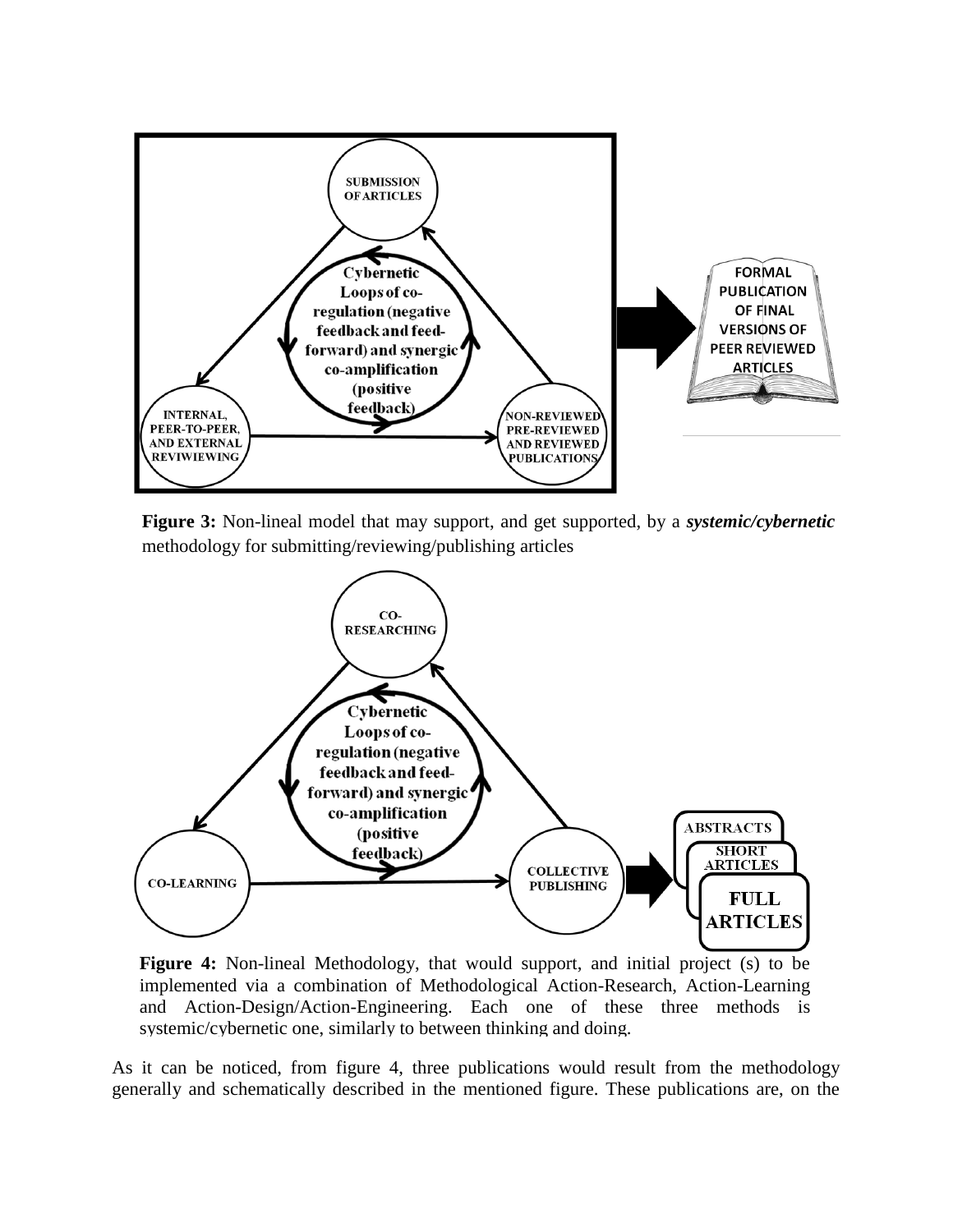

**Figure 3:** Non-lineal model that may support, and get supported, by a *systemic/cybernetic* methodology for submitting/reviewing/publishing articles



**Figure 4:** Non-lineal Methodology, that would support, and initial project (s) to be implemented via a combination of Methodological Action-Research, Action-Learning and Action-Design/Action-Engineering. Each one of these three methods is systemic/cybernetic one, similarly to between thinking and doing.

As it can be noticed, from figure 4, three publications would result from the methodology generally and schematically described in the mentioned figure. These publications are, on the